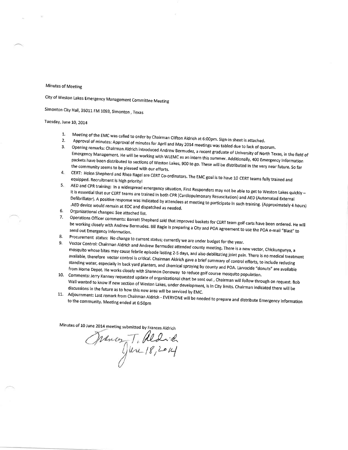## Minutes of Meeting

City of Weston Lakes Emergency Management Committee Meeting

simonton city Hall, 35011 FM 1093, Simonton, Texas

## Tuesday, June 10, 2014

- t. Meeting of the EMC was called to order by Chairman Clifton Aldrich at 6:00pm. Sign-in sheet is attached<br>| of minutes: Annroval of minutes fout all with the UK of the S00pm. Sign-in sheet is attached
- 2. Approval of minutes:
- 5, opening Opening remarks: Chairman Aldrich introduced Andrew Bermudez, a recent graduate of University of North Texas, in the field of<br>Emergency Management. He will be working with WLEMC as an intern this summer. Additionally, 400 packets have been distributed to sections of Weston Lakes, 900 to go. These will be distributed in the very near future. So far
- CERT: Helen Shepherd and Rhea Ragel are CERT Co-ordinators. The EMC goal is to have 10 CERT teams fully trained and<br>equipped. Recruitment is high priority! 4.
- 5. AED and CPR training: In a widespread emergency situation, First Responders may not be able to get to Weston Lakes quickly -<br>It is essential that our CERT teams are trained in both CPR (Cardiopulmonary Resuscitation) an Defibrillator). A positive response was indicated by attendees at meeting to participate in such training. (Approximately 4 hours)<br>.AED device would remain at EOC and dispatched as needed
- Organizational changes: See attached list, 6.
- Operations Officer comments: Barratt Shepherd said that improved baskets for CERT team golf carts have been ordered. He will we werming closely with Andrew Bermudez. Bill Ragle is preparing a City and POA agreement to use the POA e-mail "Blast" to<br>send out Emergency Information. 7.
- 9'
- Send out Emergency Information.<br>
8. Procurement status: No change to current status; currently we are under budget for the year.<br>
9. Vector Control: Chairman Aldrich and Andrew Bermudez attended county meeting. There is a mosquito whose bites may cause febrile episode lasting 2-5 days, and also debilitating joint pain. There is no medical treatment<br><sup>available,</sup> therefore vector control is critical. Chairman Aldrich save a brief. available, therefore vector control is critical. Chairman Aldrich gave a brief summary of control efforts, to include reducing<br>standing water, especially in back yard planters, and chemical spraying by county and POA. Larv standing water, especially in back yard planters, and chemical spraying by county and POA. Larvacide "donuts" are available
- 10. Comments: Jerry Kanney requested update of organizational chart be sent out, Chairman will follow through on request. Bob<br>Wall wanted to know if new section of Weston Lakes, under development, is in City limits. Chairm Wall wanted to know if new section of Weston Lakes, under development, is in City limits. Chairman indicated there will be
- 11. Adjournment: Last remark from Chairman Aldrich EVERYONE will be needed to prepare and distribute Emergency Information<br>to the community. Meeting ended at 6:50pm

Minutes of 10 June 2014 meeting submitted by Frances Aldrich

Wedn'd  $18,201$